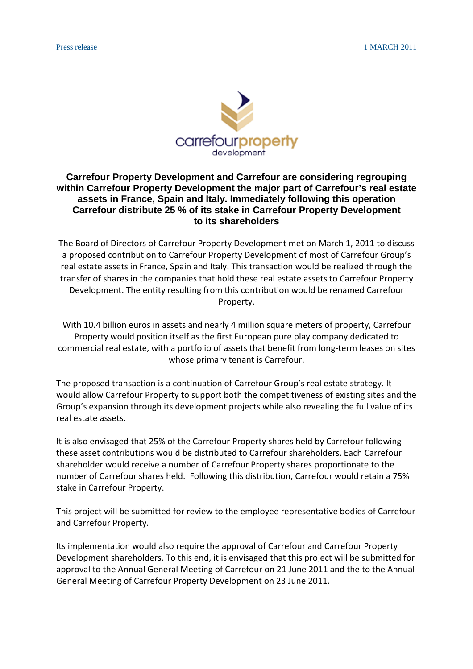

## **Carrefour Property Development and Carrefour are considering regrouping within Carrefour Property Development the major part of Carrefour's real estate assets in France, Spain and Italy. Immediately following this operation Carrefour distribute 25 % of its stake in Carrefour Property Development to its shareholders**

The Board of Directors of Carrefour Property Development met on March 1, 2011 to discuss a proposed contribution to Carrefour Property Development of most of Carrefour Group's real estate assets in France, Spain and Italy. This transaction would be realized through the transfer of shares in the companies that hold these real estate assets to Carrefour Property Development. The entity resulting from this contribution would be renamed Carrefour Property.

With 10.4 billion euros in assets and nearly 4 million square meters of property, Carrefour Property would position itself as the first European pure play company dedicated to commercial real estate, with a portfolio of assets that benefit from long-term leases on sites whose primary tenant is Carrefour.

The proposed transaction is a continuation of Carrefour Group's real estate strategy. It would allow Carrefour Property to support both the competitiveness of existing sites and the Group's expansion through its development projects while also revealing the full value of its real estate assets.

It is also envisaged that 25% of the Carrefour Property shares held by Carrefour following these asset contributions would be distributed to Carrefour shareholders. Each Carrefour shareholder would receive a number of Carrefour Property shares proportionate to the number of Carrefour shares held. Following this distribution, Carrefour would retain a 75% stake in Carrefour Property.

This project will be submitted for review to the employee representative bodies of Carrefour and Carrefour Property.

Its implementation would also require the approval of Carrefour and Carrefour Property Development shareholders. To this end, it is envisaged that this project will be submitted for approval to the Annual General Meeting of Carrefour on 21 June 2011 and the to the Annual General Meeting of Carrefour Property Development on 23 June 2011.